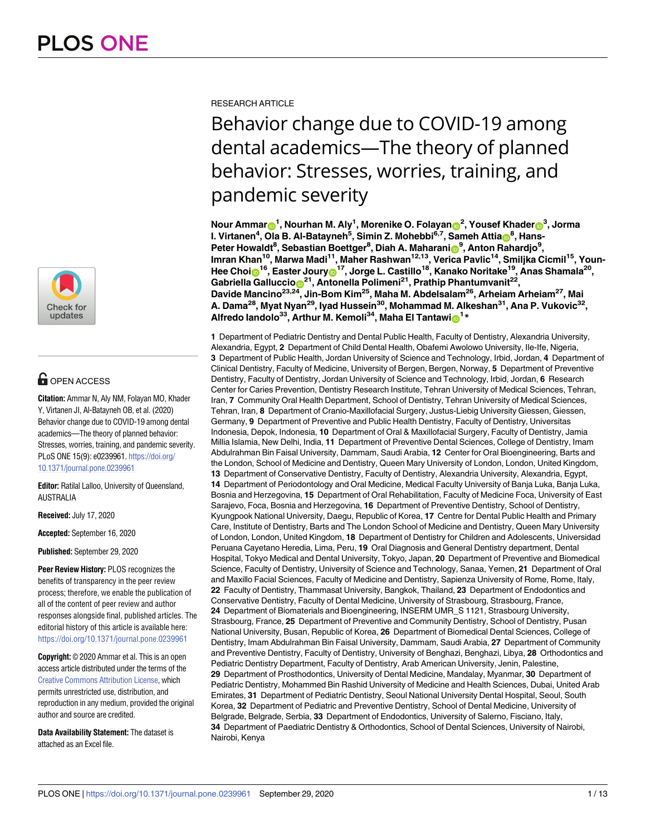

# **OPEN ACCESS**

**Citation:** Ammar N, Aly NM, Folayan MO, Khader Y, Virtanen JI, Al-Batayneh OB, et al. (2020) Behavior change due to COVID-19 among dental academics—The theory of planned behavior: Stresses, worries, training, and pandemic severity. PLoS ONE 15(9): e0239961. [https://doi.org/](https://doi.org/10.1371/journal.pone.0239961) [10.1371/journal.pone.0239961](https://doi.org/10.1371/journal.pone.0239961)

**Editor:** Ratilal Lalloo, University of Queensland, AUSTRALIA

**Received:** July 17, 2020

**Accepted:** September 16, 2020

**Published:** September 29, 2020

**Peer Review History:** PLOS recognizes the benefits of transparency in the peer review process; therefore, we enable the publication of all of the content of peer review and author responses alongside final, published articles. The editorial history of this article is available here: <https://doi.org/10.1371/journal.pone.0239961>

**Copyright:** © 2020 Ammar et al. This is an open access article distributed under the terms of the Creative Commons [Attribution](http://creativecommons.org/licenses/by/4.0/) License, which permits unrestricted use, distribution, and reproduction in any medium, provided the original author and source are credited.

**Data Availability Statement:** The dataset is attached as an Excel file.

RESEARCH ARTICLE

# Behavior change due to COVID-19 among dental academics—The theory of planned behavior: Stresses, worries, training, and pandemic severity

 ${\mathsf N}$ our Ammar ${\mathsf D}^1$ , Nourhan M. Aly $^1$ , Morenike O. Folayan ${\mathsf D}^2$ , Yousef Khader ${\mathsf D}^3$ , Jorma  $\bf{I}$ . Virtanen $\rm ^4$ , Ola B. Al-Batayneh $\rm ^5$ , Simin Z. Mohebbi $\rm ^6$ .<sup>7</sup>, Sameh Attia $\rm _6$ <sup>8</sup>, Hans- $P$ eter Howaldt<sup>8</sup>, Sebastian Boettger<sup>8</sup>, Diah A. Maharanin<sup>9</sup>, Anton Rahardjo<sup>9</sup> **, Imran Khan10, Marwa Madi11, Maher Rashwan12,13, Verica Pavlic14, Smiljka Cicmil15, Youn-** $H$ ee Choi $\odot$ <sup>16</sup>, Easter Joury $\odot$ <sup>17</sup>, Jorge L. Castillo<sup>18</sup>, Kanako Noritake<sup>19</sup>, Anas Shamala<sup>20</sup>, **Gabriella Galluccio**<sup>21</sup>, Antonella Polimeni<sup>21</sup>, Prathip Phantumvanit<sup>22</sup>, **Davide Mancino23,24, Jin-Bom Kim25, Maha M. Abdelsalam26, Arheiam Arheiam27, Mai A. Dama28, Myat Nyan29, Iyad Hussein30, Mohammad M. Alkeshan31, Ana P. Vukovic32,**  $14$  **Alfredo** landolo<sup>33</sup>, Arthur M. Kemoli<sup>34</sup>, Maha El Tantawio<sup>1</sup>\*

**1** Department of Pediatric Dentistry and Dental Public Health, Faculty of Dentistry, Alexandria University, Alexandria, Egypt, **2** Department of Child Dental Health, Obafemi Awolowo University, Ile-Ife, Nigeria, **3** Department of Public Health, Jordan University of Science and Technology, Irbid, Jordan, **4** Department of Clinical Dentistry, Faculty of Medicine, University of Bergen, Bergen, Norway, **5** Department of Preventive Dentistry, Faculty of Dentistry, Jordan University of Science and Technology, Irbid, Jordan, **6** Research Center for Caries Prevention, Dentistry Research Institute, Tehran University of Medical Sciences, Tehran, Iran, **7** Community Oral Health Department, School of Dentistry, Tehran University of Medical Sciences, Tehran, Iran, **8** Department of Cranio-Maxillofacial Surgery, Justus-Liebig University Giessen, Giessen, Germany, **9** Department of Preventive and Public Health Dentistry, Faculty of Dentistry, Universitas Indonesia, Depok, Indonesia, **10** Department of Oral & Maxillofacial Surgery, Faculty of Dentistry, Jamia Millia Islamia, New Delhi, India, **11** Department of Preventive Dental Sciences, College of Dentistry, Imam Abdulrahman Bin Faisal University, Dammam, Saudi Arabia, **12** Center for Oral Bioengineering, Barts and the London, School of Medicine and Dentistry, Queen Mary University of London, London, United Kingdom, **13** Department of Conservative Dentistry, Faculty of Dentistry, Alexandria University, Alexandria, Egypt, **14** Department of Periodontology and Oral Medicine, Medical Faculty University of Banja Luka, Banja Luka, Bosnia and Herzegovina, **15** Department of Oral Rehabilitation, Faculty of Medicine Foca, University of East Sarajevo, Foca, Bosnia and Herzegovina, **16** Department of Preventive Dentistry, School of Dentistry, Kyungpook National University, Daegu, Republic of Korea, **17** Centre for Dental Public Health and Primary Care, Institute of Dentistry, Barts and The London School of Medicine and Dentistry, Queen Mary University of London, London, United Kingdom, **18** Department of Dentistry for Children and Adolescents, Universidad Peruana Cayetano Heredia, Lima, Peru, **19** Oral Diagnosis and General Dentistry department, Dental Hospital, Tokyo Medical and Dental University, Tokyo, Japan, **20** Department of Preventive and Biomedical Science, Faculty of Dentistry, University of Science and Technology, Sanaa, Yemen, **21** Department of Oral and Maxillo Facial Sciences, Faculty of Medicine and Dentistry, Sapienza University of Rome, Rome, Italy, **22** Faculty of Dentistry, Thammasat University, Bangkok, Thailand, **23** Department of Endodontics and Conservative Dentistry, Faculty of Dental Medicine, University of Strasbourg, Strasbourg, France, **24** Department of Biomaterials and Bioengineering, INSERM UMR\_S 1121, Strasbourg University, Strasbourg, France, **25** Department of Preventive and Community Dentistry, School of Dentistry, Pusan National University, Busan, Republic of Korea, **26** Department of Biomedical Dental Sciences, College of Dentistry, Imam Abdulrahman Bin Faisal University, Dammam, Saudi Arabia, **27** Department of Community and Preventive Dentistry, Faculty of Dentistry, University of Benghazi, Benghazi, Libya, **28** Orthodontics and Pediatric Dentistry Department, Faculty of Dentistry, Arab American University, Jenin, Palestine, **29** Department of Prosthodontics, University of Dental Medicine, Mandalay, Myanmar, **30** Department of Pediatric Dentistry, Mohammed Bin Rashid University of Medicine and Health Sciences, Dubai, United Arab Emirates, **31** Department of Pediatric Dentistry, Seoul National University Dental Hospital, Seoul, South Korea, **32** Department of Pediatric and Preventive Dentistry, School of Dental Medicine, University of Belgrade, Belgrade, Serbia, **33** Department of Endodontics, University of Salerno, Fisciano, Italy, **34** Department of Paediatric Dentistry & Orthodontics, School of Dental Sciences, University of Nairobi, Nairobi, Kenya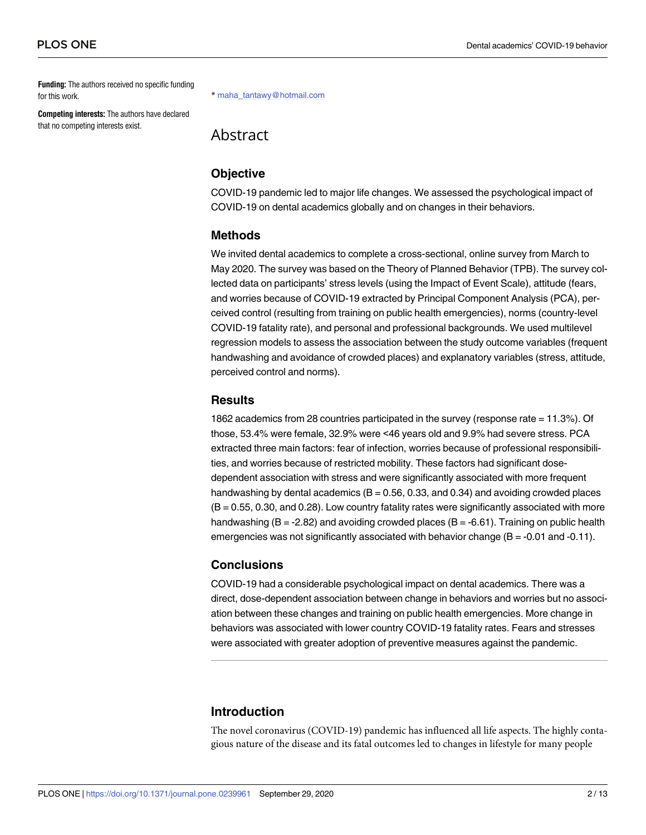<span id="page-1-0"></span>**Funding:** The authors received no specific funding for this work.

**Competing interests:** The authors have declared that no competing interests exist.

\* maha\_tantawy@hotmail.com

Abstract

#### **Objective**

COVID-19 pandemic led to major life changes. We assessed the psychological impact of COVID-19 on dental academics globally and on changes in their behaviors.

#### **Methods**

We invited dental academics to complete a cross-sectional, online survey from March to May 2020. The survey was based on the Theory of Planned Behavior (TPB). The survey collected data on participants' stress levels (using the Impact of Event Scale), attitude (fears, and worries because of COVID-19 extracted by Principal Component Analysis (PCA), perceived control (resulting from training on public health emergencies), norms (country-level COVID-19 fatality rate), and personal and professional backgrounds. We used multilevel regression models to assess the association between the study outcome variables (frequent handwashing and avoidance of crowded places) and explanatory variables (stress, attitude, perceived control and norms).

#### **Results**

1862 academics from 28 countries participated in the survey (response rate = 11.3%). Of those, 53.4% were female, 32.9% were <46 years old and 9.9% had severe stress. PCA extracted three main factors: fear of infection, worries because of professional responsibilities, and worries because of restricted mobility. These factors had significant dosedependent association with stress and were significantly associated with more frequent handwashing by dental academics ( $B = 0.56$ , 0.33, and 0.34) and avoiding crowded places (B = 0.55, 0.30, and 0.28). Low country fatality rates were significantly associated with more handwashing ( $B = -2.82$ ) and avoiding crowded places ( $B = -6.61$ ). Training on public health emergencies was not significantly associated with behavior change  $(B = -0.01$  and  $-0.11$ ).

# **Conclusions**

COVID-19 had a considerable psychological impact on dental academics. There was a direct, dose-dependent association between change in behaviors and worries but no association between these changes and training on public health emergencies. More change in behaviors was associated with lower country COVID-19 fatality rates. Fears and stresses were associated with greater adoption of preventive measures against the pandemic.

# **Introduction**

The novel coronavirus (COVID-19) pandemic has influenced all life aspects. The highly contagious nature of the disease and its fatal outcomes led to changes in lifestyle for many people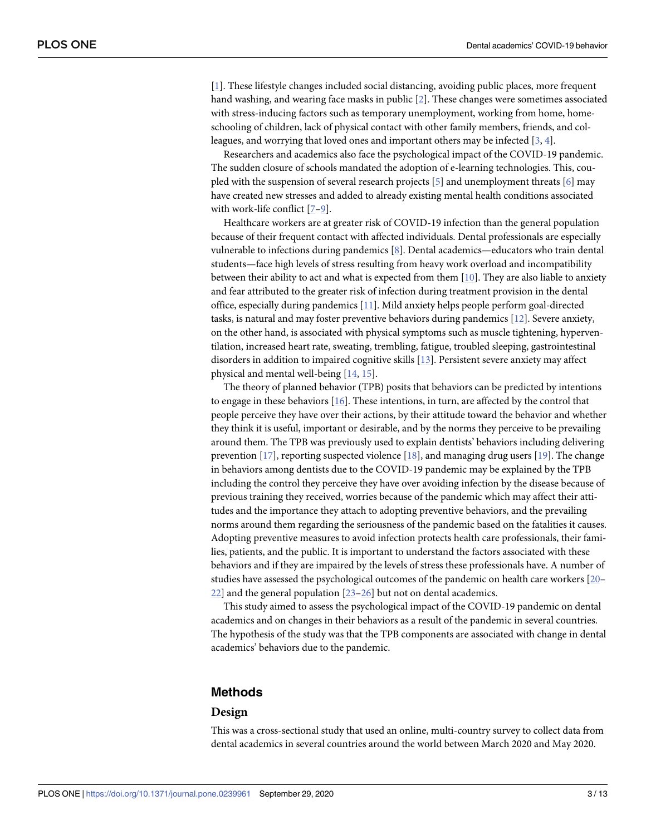<span id="page-2-0"></span>[\[1](#page-10-0)]. These lifestyle changes included social distancing, avoiding public places, more frequent hand washing, and wearing face masks in public [\[2\]](#page-10-0). These changes were sometimes associated with stress-inducing factors such as temporary unemployment, working from home, homeschooling of children, lack of physical contact with other family members, friends, and colleagues, and worrying that loved ones and important others may be infected [\[3,](#page-10-0) [4](#page-10-0)].

Researchers and academics also face the psychological impact of the COVID-19 pandemic. The sudden closure of schools mandated the adoption of e-learning technologies. This, coupled with the suspension of several research projects [[5](#page-10-0)] and unemployment threats [[6](#page-10-0)] may have created new stresses and added to already existing mental health conditions associated with work-life conflict [\[7–9\]](#page-10-0).

Healthcare workers are at greater risk of COVID-19 infection than the general population because of their frequent contact with affected individuals. Dental professionals are especially vulnerable to infections during pandemics [[8\]](#page-10-0). Dental academics—educators who train dental students—face high levels of stress resulting from heavy work overload and incompatibility between their ability to act and what is expected from them [\[10\]](#page-10-0). They are also liable to anxiety and fear attributed to the greater risk of infection during treatment provision in the dental office, especially during pandemics [[11](#page-10-0)]. Mild anxiety helps people perform goal-directed tasks, is natural and may foster preventive behaviors during pandemics [\[12\]](#page-10-0). Severe anxiety, on the other hand, is associated with physical symptoms such as muscle tightening, hyperventilation, increased heart rate, sweating, trembling, fatigue, troubled sleeping, gastrointestinal disorders in addition to impaired cognitive skills [[13](#page-10-0)]. Persistent severe anxiety may affect physical and mental well-being [[14](#page-11-0), [15](#page-11-0)].

The theory of planned behavior (TPB) posits that behaviors can be predicted by intentions to engage in these behaviors [\[16\]](#page-11-0). These intentions, in turn, are affected by the control that people perceive they have over their actions, by their attitude toward the behavior and whether they think it is useful, important or desirable, and by the norms they perceive to be prevailing around them. The TPB was previously used to explain dentists' behaviors including delivering prevention [\[17\]](#page-11-0), reporting suspected violence [[18](#page-11-0)], and managing drug users [[19](#page-11-0)]. The change in behaviors among dentists due to the COVID-19 pandemic may be explained by the TPB including the control they perceive they have over avoiding infection by the disease because of previous training they received, worries because of the pandemic which may affect their attitudes and the importance they attach to adopting preventive behaviors, and the prevailing norms around them regarding the seriousness of the pandemic based on the fatalities it causes. Adopting preventive measures to avoid infection protects health care professionals, their families, patients, and the public. It is important to understand the factors associated with these behaviors and if they are impaired by the levels of stress these professionals have. A number of studies have assessed the psychological outcomes of the pandemic on health care workers [\[20–](#page-11-0) [22\]](#page-11-0) and the general population [[23–26\]](#page-11-0) but not on dental academics.

This study aimed to assess the psychological impact of the COVID-19 pandemic on dental academics and on changes in their behaviors as a result of the pandemic in several countries. The hypothesis of the study was that the TPB components are associated with change in dental academics' behaviors due to the pandemic.

#### **Methods**

#### **Design**

This was a cross-sectional study that used an online, multi-country survey to collect data from dental academics in several countries around the world between March 2020 and May 2020.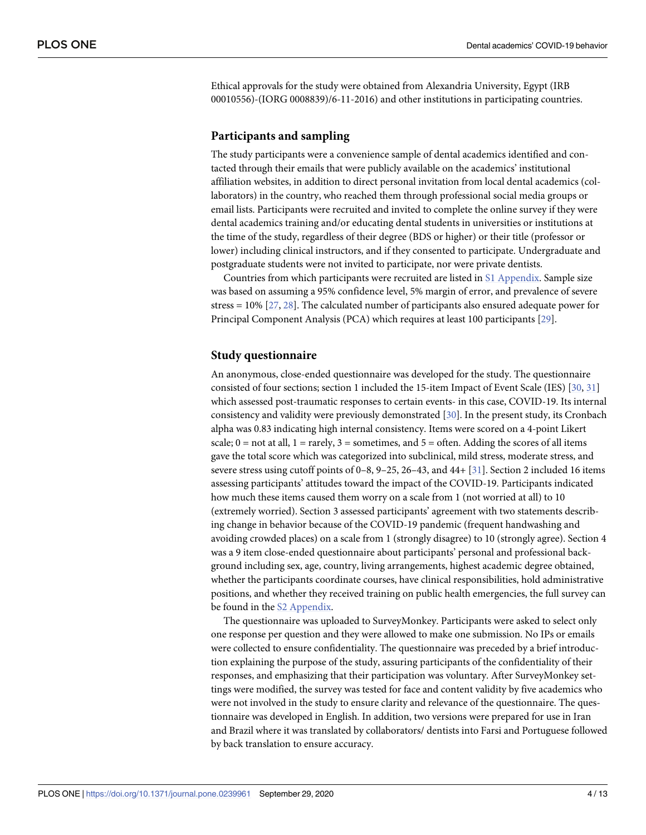<span id="page-3-0"></span>Ethical approvals for the study were obtained from Alexandria University, Egypt (IRB 00010556)-(IORG 0008839)/6-11-2016) and other institutions in participating countries.

#### **Participants and sampling**

The study participants were a convenience sample of dental academics identified and contacted through their emails that were publicly available on the academics' institutional affiliation websites, in addition to direct personal invitation from local dental academics (collaborators) in the country, who reached them through professional social media groups or email lists. Participants were recruited and invited to complete the online survey if they were dental academics training and/or educating dental students in universities or institutions at the time of the study, regardless of their degree (BDS or higher) or their title (professor or lower) including clinical instructors, and if they consented to participate. Undergraduate and postgraduate students were not invited to participate, nor were private dentists.

Countries from which participants were recruited are listed in S1 [Appendix](#page-9-0). Sample size was based on assuming a 95% confidence level, 5% margin of error, and prevalence of severe stress = 10% [[27](#page-11-0), [28](#page-11-0)]. The calculated number of participants also ensured adequate power for Principal Component Analysis (PCA) which requires at least 100 participants [[29](#page-11-0)].

#### **Study questionnaire**

An anonymous, close-ended questionnaire was developed for the study. The questionnaire consisted of four sections; section 1 included the 15-item Impact of Event Scale (IES) [[30](#page-11-0), [31](#page-11-0)] which assessed post-traumatic responses to certain events- in this case, COVID-19. Its internal consistency and validity were previously demonstrated [\[30\]](#page-11-0). In the present study, its Cronbach alpha was 0.83 indicating high internal consistency. Items were scored on a 4-point Likert scale;  $0 =$  not at all,  $1 =$  rarely,  $3 =$  sometimes, and  $5 =$  often. Adding the scores of all items gave the total score which was categorized into subclinical, mild stress, moderate stress, and severe stress using cutoff points of 0–8, 9–25, 26–43, and 44+ [\[31\]](#page-11-0). Section 2 included 16 items assessing participants' attitudes toward the impact of the COVID-19. Participants indicated how much these items caused them worry on a scale from 1 (not worried at all) to 10 (extremely worried). Section 3 assessed participants' agreement with two statements describing change in behavior because of the COVID-19 pandemic (frequent handwashing and avoiding crowded places) on a scale from 1 (strongly disagree) to 10 (strongly agree). Section 4 was a 9 item close-ended questionnaire about participants' personal and professional background including sex, age, country, living arrangements, highest academic degree obtained, whether the participants coordinate courses, have clinical responsibilities, hold administrative positions, and whether they received training on public health emergencies, the full survey can be found in the S2 [Appendix.](#page-9-0)

The questionnaire was uploaded to SurveyMonkey. Participants were asked to select only one response per question and they were allowed to make one submission. No IPs or emails were collected to ensure confidentiality. The questionnaire was preceded by a brief introduction explaining the purpose of the study, assuring participants of the confidentiality of their responses, and emphasizing that their participation was voluntary. After SurveyMonkey settings were modified, the survey was tested for face and content validity by five academics who were not involved in the study to ensure clarity and relevance of the questionnaire. The questionnaire was developed in English. In addition, two versions were prepared for use in Iran and Brazil where it was translated by collaborators/ dentists into Farsi and Portuguese followed by back translation to ensure accuracy.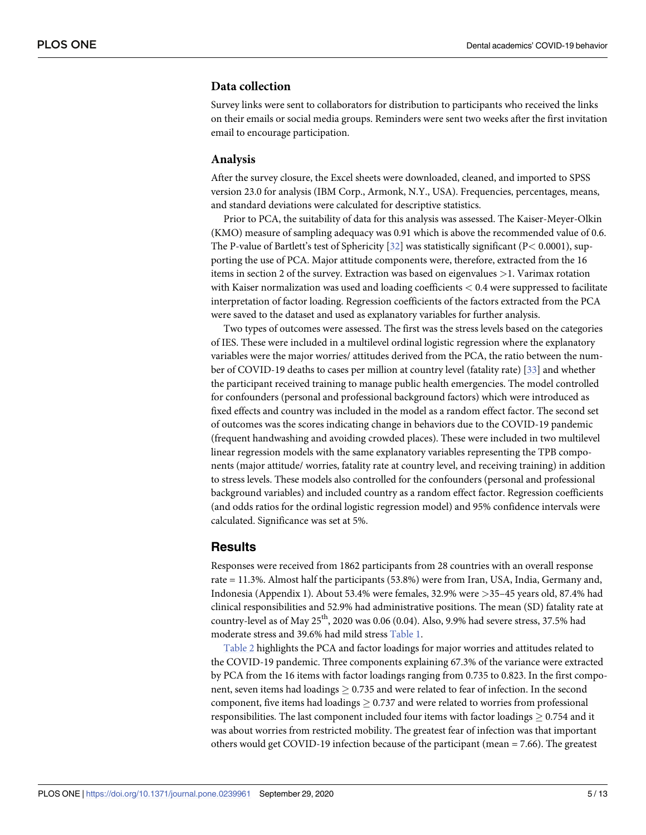# <span id="page-4-0"></span>**Data collection**

Survey links were sent to collaborators for distribution to participants who received the links on their emails or social media groups. Reminders were sent two weeks after the first invitation email to encourage participation.

#### **Analysis**

After the survey closure, the Excel sheets were downloaded, cleaned, and imported to SPSS version 23.0 for analysis (IBM Corp., Armonk, N.Y., USA). Frequencies, percentages, means, and standard deviations were calculated for descriptive statistics.

Prior to PCA, the suitability of data for this analysis was assessed. The Kaiser-Meyer-Olkin (KMO) measure of sampling adequacy was 0.91 which is above the recommended value of 0.6. The P-value of Bartlett's test of Sphericity [[32](#page-11-0)] was statistically significant (P*<* 0.0001), supporting the use of PCA. Major attitude components were, therefore, extracted from the 16 items in section 2 of the survey. Extraction was based on eigenvalues *>*1. Varimax rotation with Kaiser normalization was used and loading coefficients *<* 0.4 were suppressed to facilitate interpretation of factor loading. Regression coefficients of the factors extracted from the PCA were saved to the dataset and used as explanatory variables for further analysis.

Two types of outcomes were assessed. The first was the stress levels based on the categories of IES. These were included in a multilevel ordinal logistic regression where the explanatory variables were the major worries/ attitudes derived from the PCA, the ratio between the number of COVID-19 deaths to cases per million at country level (fatality rate) [[33](#page-11-0)] and whether the participant received training to manage public health emergencies. The model controlled for confounders (personal and professional background factors) which were introduced as fixed effects and country was included in the model as a random effect factor. The second set of outcomes was the scores indicating change in behaviors due to the COVID-19 pandemic (frequent handwashing and avoiding crowded places). These were included in two multilevel linear regression models with the same explanatory variables representing the TPB components (major attitude/ worries, fatality rate at country level, and receiving training) in addition to stress levels. These models also controlled for the confounders (personal and professional background variables) and included country as a random effect factor. Regression coefficients (and odds ratios for the ordinal logistic regression model) and 95% confidence intervals were calculated. Significance was set at 5%.

# **Results**

Responses were received from 1862 participants from 28 countries with an overall response rate = 11.3%. Almost half the participants (53.8%) were from Iran, USA, India, Germany and, Indonesia (Appendix 1). About 53.4% were females, 32.9% were *>*35–45 years old, 87.4% had clinical responsibilities and 52.9% had administrative positions. The mean (SD) fatality rate at country-level as of May  $25<sup>th</sup>$ , 2020 was 0.06 (0.04). Also, 9.9% had severe stress, 37.5% had moderate stress and 39.6% had mild stress [Table](#page-5-0) 1.

[Table](#page-6-0) 2 highlights the PCA and factor loadings for major worries and attitudes related to the COVID-19 pandemic. Three components explaining 67.3% of the variance were extracted by PCA from the 16 items with factor loadings ranging from 0.735 to 0.823. In the first component, seven items had loadings  $\geq 0.735$  and were related to fear of infection. In the second component, five items had loadings  $> 0.737$  and were related to worries from professional responsibilities. The last component included four items with factor loadings  $\geq 0.754$  and it was about worries from restricted mobility. The greatest fear of infection was that important others would get COVID-19 infection because of the participant (mean = 7.66). The greatest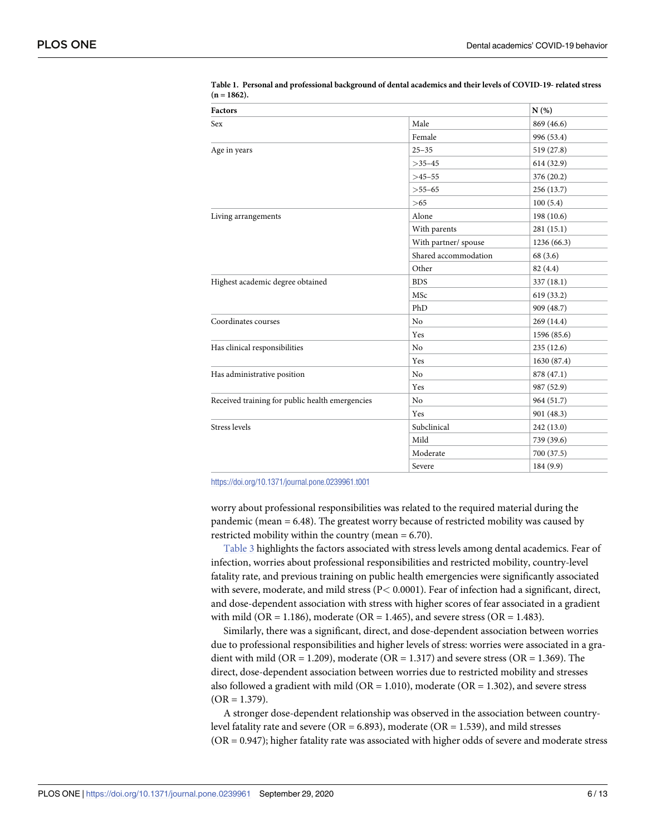| Factors                                         |                      | N(%)        |
|-------------------------------------------------|----------------------|-------------|
| Sex                                             | Male                 | 869 (46.6)  |
|                                                 | Female               | 996 (53.4)  |
| Age in years                                    | $25 - 35$            | 519 (27.8)  |
|                                                 | $>35-45$             | 614 (32.9)  |
|                                                 | $>45-55$             | 376 (20.2)  |
|                                                 | $>55-65$             | 256 (13.7)  |
|                                                 | >65                  | 100(5.4)    |
| Living arrangements                             | Alone                | 198 (10.6)  |
|                                                 | With parents         | 281 (15.1)  |
|                                                 | With partner/ spouse | 1236 (66.3) |
|                                                 | Shared accommodation | 68 (3.6)    |
|                                                 | Other                | 82 (4.4)    |
| Highest academic degree obtained                | <b>BDS</b>           | 337(18.1)   |
|                                                 | MSc                  | 619 (33.2)  |
|                                                 | PhD                  | 909 (48.7)  |
| Coordinates courses                             | N <sub>o</sub>       | 269 (14.4)  |
|                                                 | Yes                  | 1596 (85.6) |
| Has clinical responsibilities                   | N <sub>o</sub>       | 235(12.6)   |
|                                                 | Yes                  | 1630 (87.4) |
| Has administrative position                     | N <sub>0</sub>       | 878 (47.1)  |
|                                                 | Yes                  | 987 (52.9)  |
| Received training for public health emergencies | No                   | 964 (51.7)  |
|                                                 | Yes                  | 901 (48.3)  |
| Stress levels                                   | Subclinical          | 242 (13.0)  |
|                                                 | Mild                 | 739 (39.6)  |
|                                                 | Moderate             | 700 (37.5)  |
|                                                 | Severe               | 184 (9.9)   |

<span id="page-5-0"></span>**[Table](#page-4-0) 1. Personal and professional background of dental academics and their levels of COVID-19- related stress**  $(n = 1862)$ .

<https://doi.org/10.1371/journal.pone.0239961.t001>

worry about professional responsibilities was related to the required material during the pandemic (mean = 6.48). The greatest worry because of restricted mobility was caused by restricted mobility within the country (mean = 6.70).

[Table](#page-6-0) 3 highlights the factors associated with stress levels among dental academics. Fear of infection, worries about professional responsibilities and restricted mobility, country-level fatality rate, and previous training on public health emergencies were significantly associated with severe, moderate, and mild stress (P*<* 0.0001). Fear of infection had a significant, direct, and dose-dependent association with stress with higher scores of fear associated in a gradient with mild (OR = 1.186), moderate (OR = 1.465), and severe stress (OR = 1.483).

Similarly, there was a significant, direct, and dose-dependent association between worries due to professional responsibilities and higher levels of stress: worries were associated in a gradient with mild (OR = 1.209), moderate (OR = 1.317) and severe stress (OR = 1.369). The direct, dose-dependent association between worries due to restricted mobility and stresses also followed a gradient with mild ( $OR = 1.010$ ), moderate ( $OR = 1.302$ ), and severe stress  $(OR = 1.379)$ .

A stronger dose-dependent relationship was observed in the association between countrylevel fatality rate and severe ( $OR = 6.893$ ), moderate ( $OR = 1.539$ ), and mild stresses (OR = 0.947); higher fatality rate was associated with higher odds of severe and moderate stress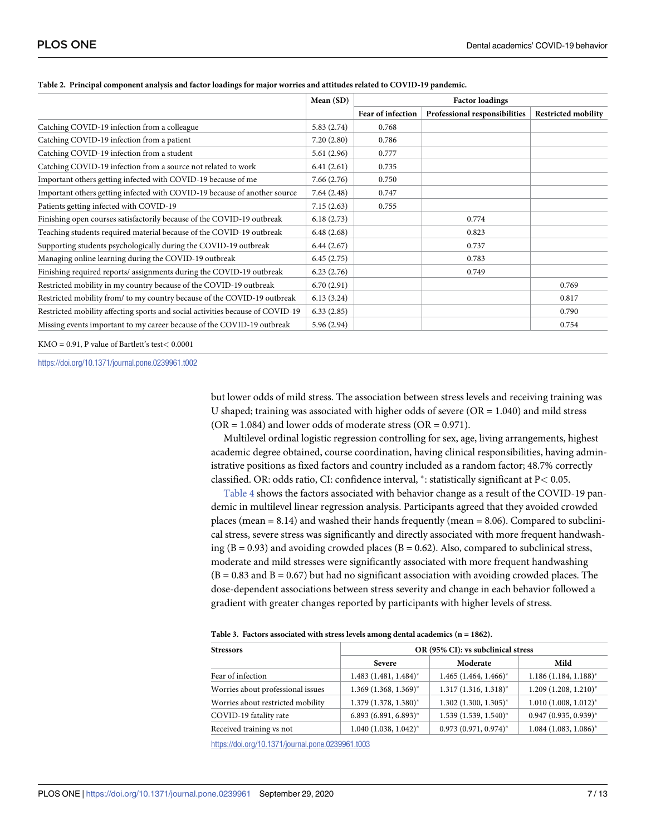|                                                                                | Mean (SD)  | <b>Factor loadings</b> |                               |                            |
|--------------------------------------------------------------------------------|------------|------------------------|-------------------------------|----------------------------|
|                                                                                |            | Fear of infection      | Professional responsibilities | <b>Restricted mobility</b> |
| Catching COVID-19 infection from a colleague                                   | 5.83(2.74) | 0.768                  |                               |                            |
| Catching COVID-19 infection from a patient                                     | 7.20(2.80) | 0.786                  |                               |                            |
| Catching COVID-19 infection from a student                                     | 5.61(2.96) | 0.777                  |                               |                            |
| Catching COVID-19 infection from a source not related to work                  | 6.41(2.61) | 0.735                  |                               |                            |
| Important others getting infected with COVID-19 because of me                  | 7.66(2.76) | 0.750                  |                               |                            |
| Important others getting infected with COVID-19 because of another source      | 7.64(2.48) | 0.747                  |                               |                            |
| Patients getting infected with COVID-19                                        | 7.15(2.63) | 0.755                  |                               |                            |
| Finishing open courses satisfactorily because of the COVID-19 outbreak         | 6.18(2.73) |                        | 0.774                         |                            |
| Teaching students required material because of the COVID-19 outbreak           | 6.48(2.68) |                        | 0.823                         |                            |
| Supporting students psychologically during the COVID-19 outbreak               | 6.44(2.67) |                        | 0.737                         |                            |
| Managing online learning during the COVID-19 outbreak                          | 6.45(2.75) |                        | 0.783                         |                            |
| Finishing required reports/ assignments during the COVID-19 outbreak           | 6.23(2.76) |                        | 0.749                         |                            |
| Restricted mobility in my country because of the COVID-19 outbreak             | 6.70(2.91) |                        |                               | 0.769                      |
| Restricted mobility from/ to my country because of the COVID-19 outbreak       | 6.13(3.24) |                        |                               | 0.817                      |
| Restricted mobility affecting sports and social activities because of COVID-19 | 6.33(2.85) |                        |                               | 0.790                      |
| Missing events important to my career because of the COVID-19 outbreak         | 5.96(2.94) |                        |                               | 0.754                      |

#### <span id="page-6-0"></span>[Table](#page-4-0) 2. Principal component analysis and factor loadings for major worries and attitudes related to COVID-19 pandemic.

KMO = 0.91, P value of Bartlett's test*<* 0.0001

<https://doi.org/10.1371/journal.pone.0239961.t002>

but lower odds of mild stress. The association between stress levels and receiving training was U shaped; training was associated with higher odds of severe  $(OR = 1.040)$  and mild stress  $(OR = 1.084)$  and lower odds of moderate stress  $(OR = 0.971)$ .

Multilevel ordinal logistic regression controlling for sex, age, living arrangements, highest academic degree obtained, course coordination, having clinical responsibilities, having administrative positions as fixed factors and country included as a random factor; 48.7% correctly classified. OR: odds ratio, CI: confidence interval, �: statistically significant at P*<* 0.05.

[Table](#page-7-0) 4 shows the factors associated with behavior change as a result of the COVID-19 pandemic in multilevel linear regression analysis. Participants agreed that they avoided crowded places (mean = 8.14) and washed their hands frequently (mean = 8.06). Compared to subclinical stress, severe stress was significantly and directly associated with more frequent handwashing  $(B = 0.93)$  and avoiding crowded places  $(B = 0.62)$ . Also, compared to subclinical stress, moderate and mild stresses were significantly associated with more frequent handwashing  $(B = 0.83$  and  $B = 0.67$ ) but had no significant association with avoiding crowded places. The dose-dependent associations between stress severity and change in each behavior followed a gradient with greater changes reported by participants with higher levels of stress.

|  | Table 3. Factors associated with stress levels among dental academics ( $n = 1862$ ). |  |  |  |  |
|--|---------------------------------------------------------------------------------------|--|--|--|--|
|--|---------------------------------------------------------------------------------------|--|--|--|--|

| <b>Stressors</b>                  | OR (95% CI): vs subclinical stress  |                                     |                                     |  |
|-----------------------------------|-------------------------------------|-------------------------------------|-------------------------------------|--|
|                                   | <b>Severe</b>                       | Moderate                            | Mild                                |  |
| Fear of infection                 | $1.483$ $(1.481, 1.484)^*$          | $1.465$ (1.464, 1.466) <sup>*</sup> | $1.186(1.184, 1.188)^*$             |  |
| Worries about professional issues | $1.369$ (1.368, 1.369) <sup>*</sup> | $1.317(1.316, 1.318)^*$             | $1.209(1.208, 1.210)^*$             |  |
| Worries about restricted mobility | $1.379$ $(1.378, 1.380)^*$          | $1.302(1.300, 1.305)^{*}$           | $1.010(1.008, 1.012)^{*}$           |  |
| COVID-19 fatality rate            | $6.893(6.891, 6.893)^*$             | $1.539(1.539, 1.540)^{*}$           | $0.947(0.935, 0.939)^{*}$           |  |
| Received training vs not          | $1.040(1.038, 1.042)^{*}$           | $0.973(0.971, 0.974)^*$             | $1.084$ (1.083, 1.086) <sup>*</sup> |  |

<https://doi.org/10.1371/journal.pone.0239961.t003>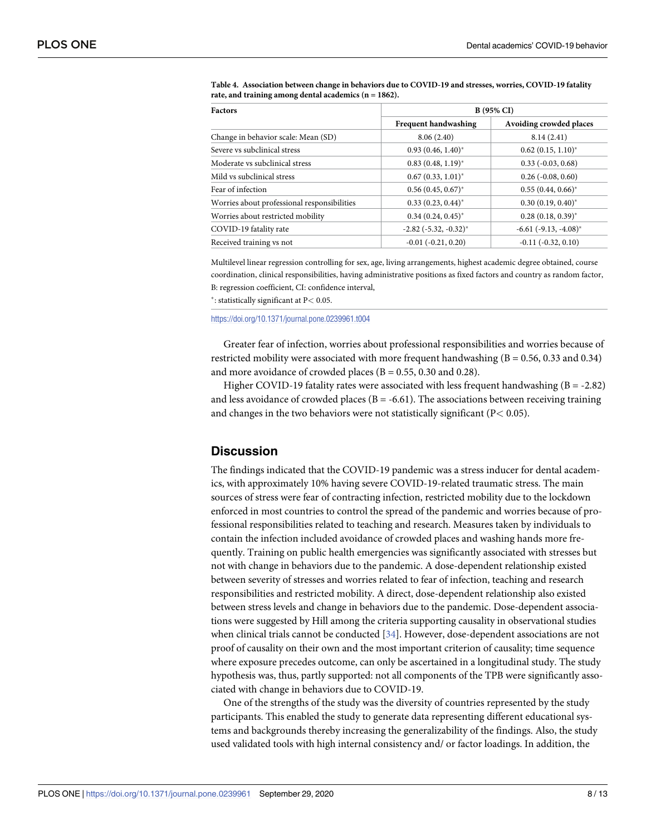| <b>Factors</b>                              | <b>B</b> (95% CI)              |                             |  |
|---------------------------------------------|--------------------------------|-----------------------------|--|
|                                             | <b>Frequent handwashing</b>    | Avoiding crowded places     |  |
| Change in behavior scale: Mean (SD)         | 8.06(2.40)                     | 8.14(2.41)                  |  |
| Severe vs subclinical stress                | $0.93(0.46, 1.40)^*$           | $0.62$ $(0.15, 1.10)^*$     |  |
| Moderate vs subclinical stress              | $0.83(0.48, 1.19)^*$           | $0.33(-0.03, 0.68)$         |  |
| Mild vs subclinical stress                  | $0.67(0.33, 1.01)^*$           | $0.26$ ( $-0.08$ , $0.60$ ) |  |
| Fear of infection                           | $0.56(0.45, 0.67)^*$           | $0.55(0.44, 0.66)^*$        |  |
| Worries about professional responsibilities | $0.33(0.23, 0.44)^*$           | $0.30(0.19, 0.40)^{*}$      |  |
| Worries about restricted mobility           | $0.34(0.24, 0.45)^*$           | $0.28(0.18, 0.39)^{*}$      |  |
| COVID-19 fatality rate                      | $-2.82$ ( $-5.32$ , $-0.32$ )* | $-6.61$ $(-9.13, -4.08)^*$  |  |
| Received training vs not                    | $-0.01$ $(-0.21, 0.20)$        | $-0.11$ $(-0.32, 0.10)$     |  |

<span id="page-7-0"></span>**[Table](#page-6-0) 4. Association between change in behaviors due to COVID-19 and stresses, worries, COVID-19 fatality rate, and training among dental academics (n = 1862).**

Multilevel linear regression controlling for sex, age, living arrangements, highest academic degree obtained, course coordination, clinical responsibilities, having administrative positions as fixed factors and country as random factor, B: regression coefficient, CI: confidence interval,

�: statistically significant at P*<* 0.05.

<https://doi.org/10.1371/journal.pone.0239961.t004>

Greater fear of infection, worries about professional responsibilities and worries because of restricted mobility were associated with more frequent handwashing (B = 0.56, 0.33 and 0.34) and more avoidance of crowded places ( $B = 0.55$ , 0.30 and 0.28).

Higher COVID-19 fatality rates were associated with less frequent handwashing  $(B = -2.82)$ and less avoidance of crowded places ( $B = -6.61$ ). The associations between receiving training and changes in the two behaviors were not statistically significant (P*<* 0.05).

# **Discussion**

The findings indicated that the COVID-19 pandemic was a stress inducer for dental academics, with approximately 10% having severe COVID-19-related traumatic stress. The main sources of stress were fear of contracting infection, restricted mobility due to the lockdown enforced in most countries to control the spread of the pandemic and worries because of professional responsibilities related to teaching and research. Measures taken by individuals to contain the infection included avoidance of crowded places and washing hands more frequently. Training on public health emergencies was significantly associated with stresses but not with change in behaviors due to the pandemic. A dose-dependent relationship existed between severity of stresses and worries related to fear of infection, teaching and research responsibilities and restricted mobility. A direct, dose-dependent relationship also existed between stress levels and change in behaviors due to the pandemic. Dose-dependent associations were suggested by Hill among the criteria supporting causality in observational studies when clinical trials cannot be conducted [[34](#page-11-0)]. However, dose-dependent associations are not proof of causality on their own and the most important criterion of causality; time sequence where exposure precedes outcome, can only be ascertained in a longitudinal study. The study hypothesis was, thus, partly supported: not all components of the TPB were significantly associated with change in behaviors due to COVID-19.

One of the strengths of the study was the diversity of countries represented by the study participants. This enabled the study to generate data representing different educational systems and backgrounds thereby increasing the generalizability of the findings. Also, the study used validated tools with high internal consistency and/ or factor loadings. In addition, the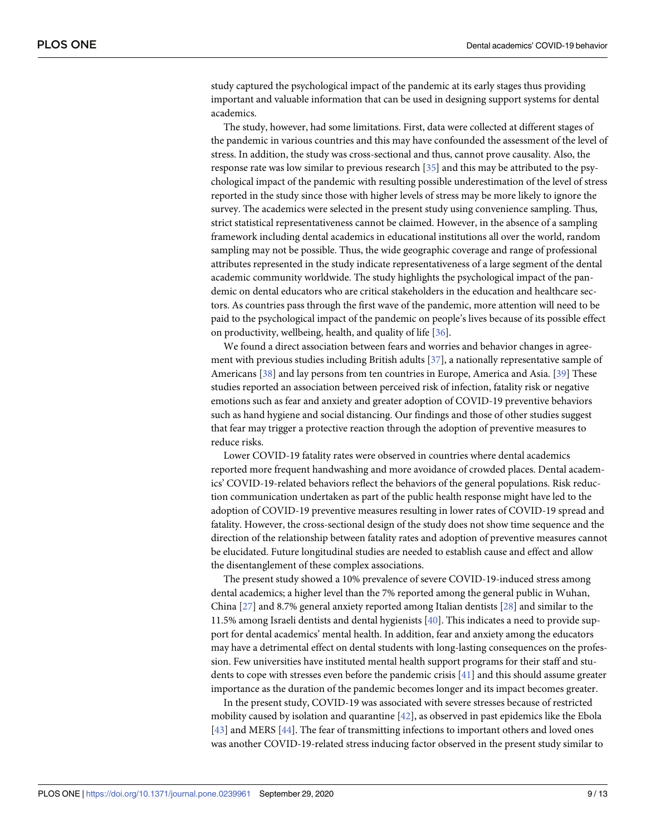<span id="page-8-0"></span>study captured the psychological impact of the pandemic at its early stages thus providing important and valuable information that can be used in designing support systems for dental academics.

The study, however, had some limitations. First, data were collected at different stages of the pandemic in various countries and this may have confounded the assessment of the level of stress. In addition, the study was cross-sectional and thus, cannot prove causality. Also, the response rate was low similar to previous research [[35](#page-11-0)] and this may be attributed to the psychological impact of the pandemic with resulting possible underestimation of the level of stress reported in the study since those with higher levels of stress may be more likely to ignore the survey. The academics were selected in the present study using convenience sampling. Thus, strict statistical representativeness cannot be claimed. However, in the absence of a sampling framework including dental academics in educational institutions all over the world, random sampling may not be possible. Thus, the wide geographic coverage and range of professional attributes represented in the study indicate representativeness of a large segment of the dental academic community worldwide. The study highlights the psychological impact of the pandemic on dental educators who are critical stakeholders in the education and healthcare sectors. As countries pass through the first wave of the pandemic, more attention will need to be paid to the psychological impact of the pandemic on people's lives because of its possible effect on productivity, wellbeing, health, and quality of life [[36](#page-12-0)].

We found a direct association between fears and worries and behavior changes in agreement with previous studies including British adults [\[37\]](#page-12-0), a nationally representative sample of Americans [[38](#page-12-0)] and lay persons from ten countries in Europe, America and Asia. [\[39\]](#page-12-0) These studies reported an association between perceived risk of infection, fatality risk or negative emotions such as fear and anxiety and greater adoption of COVID-19 preventive behaviors such as hand hygiene and social distancing. Our findings and those of other studies suggest that fear may trigger a protective reaction through the adoption of preventive measures to reduce risks.

Lower COVID-19 fatality rates were observed in countries where dental academics reported more frequent handwashing and more avoidance of crowded places. Dental academics' COVID-19-related behaviors reflect the behaviors of the general populations. Risk reduction communication undertaken as part of the public health response might have led to the adoption of COVID-19 preventive measures resulting in lower rates of COVID-19 spread and fatality. However, the cross-sectional design of the study does not show time sequence and the direction of the relationship between fatality rates and adoption of preventive measures cannot be elucidated. Future longitudinal studies are needed to establish cause and effect and allow the disentanglement of these complex associations.

The present study showed a 10% prevalence of severe COVID-19-induced stress among dental academics; a higher level than the 7% reported among the general public in Wuhan, China [\[27\]](#page-11-0) and 8.7% general anxiety reported among Italian dentists [\[28\]](#page-11-0) and similar to the 11.5% among Israeli dentists and dental hygienists [[40](#page-12-0)]. This indicates a need to provide support for dental academics' mental health. In addition, fear and anxiety among the educators may have a detrimental effect on dental students with long-lasting consequences on the profession. Few universities have instituted mental health support programs for their staff and students to cope with stresses even before the pandemic crisis [\[41\]](#page-12-0) and this should assume greater importance as the duration of the pandemic becomes longer and its impact becomes greater.

In the present study, COVID-19 was associated with severe stresses because of restricted mobility caused by isolation and quarantine [[42](#page-12-0)], as observed in past epidemics like the Ebola [\[43\]](#page-12-0) and MERS [\[44\]](#page-12-0). The fear of transmitting infections to important others and loved ones was another COVID-19-related stress inducing factor observed in the present study similar to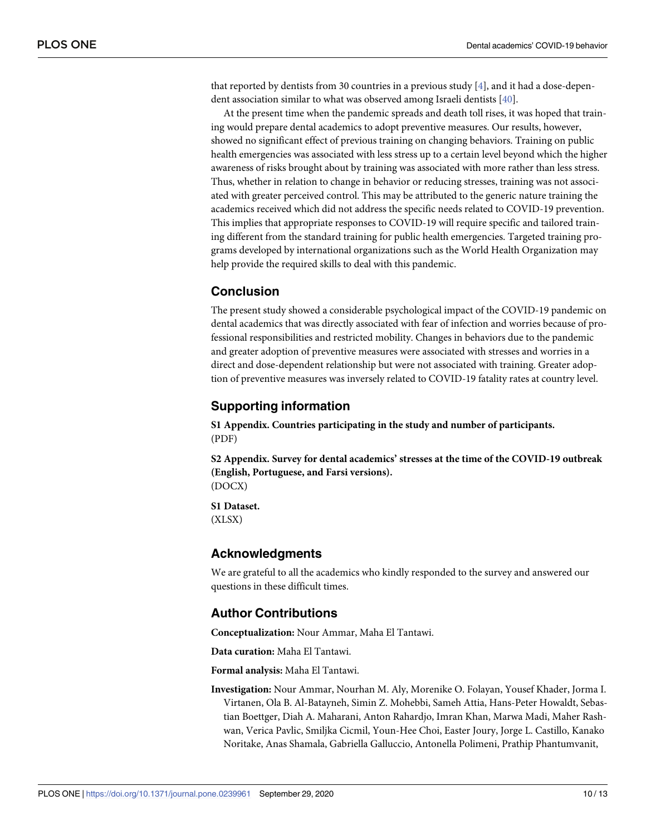<span id="page-9-0"></span>that reported by dentists from 30 countries in a previous study [\[4\]](#page-10-0), and it had a dose-dependent association similar to what was observed among Israeli dentists [\[40\]](#page-12-0).

At the present time when the pandemic spreads and death toll rises, it was hoped that training would prepare dental academics to adopt preventive measures. Our results, however, showed no significant effect of previous training on changing behaviors. Training on public health emergencies was associated with less stress up to a certain level beyond which the higher awareness of risks brought about by training was associated with more rather than less stress. Thus, whether in relation to change in behavior or reducing stresses, training was not associated with greater perceived control. This may be attributed to the generic nature training the academics received which did not address the specific needs related to COVID-19 prevention. This implies that appropriate responses to COVID-19 will require specific and tailored training different from the standard training for public health emergencies. Targeted training programs developed by international organizations such as the World Health Organization may help provide the required skills to deal with this pandemic.

# **Conclusion**

The present study showed a considerable psychological impact of the COVID-19 pandemic on dental academics that was directly associated with fear of infection and worries because of professional responsibilities and restricted mobility. Changes in behaviors due to the pandemic and greater adoption of preventive measures were associated with stresses and worries in a direct and dose-dependent relationship but were not associated with training. Greater adoption of preventive measures was inversely related to COVID-19 fatality rates at country level.

# **Supporting information**

**S1 [Appendix](http://www.plosone.org/article/fetchSingleRepresentation.action?uri=info:doi/10.1371/journal.pone.0239961.s001). Countries participating in the study and number of participants.** (PDF)

**S2 [Appendix](http://www.plosone.org/article/fetchSingleRepresentation.action?uri=info:doi/10.1371/journal.pone.0239961.s002). Survey for dental academics' stresses at the time of the COVID-19 outbreak (English, Portuguese, and Farsi versions).** (DOCX)

**S1 [Dataset.](http://www.plosone.org/article/fetchSingleRepresentation.action?uri=info:doi/10.1371/journal.pone.0239961.s003)** (XLSX)

#### **Acknowledgments**

We are grateful to all the academics who kindly responded to the survey and answered our questions in these difficult times.

# **Author Contributions**

**Conceptualization:** Nour Ammar, Maha El Tantawi.

**Data curation:** Maha El Tantawi.

**Formal analysis:** Maha El Tantawi.

**Investigation:** Nour Ammar, Nourhan M. Aly, Morenike O. Folayan, Yousef Khader, Jorma I. Virtanen, Ola B. Al-Batayneh, Simin Z. Mohebbi, Sameh Attia, Hans-Peter Howaldt, Sebastian Boettger, Diah A. Maharani, Anton Rahardjo, Imran Khan, Marwa Madi, Maher Rashwan, Verica Pavlic, Smiljka Cicmil, Youn-Hee Choi, Easter Joury, Jorge L. Castillo, Kanako Noritake, Anas Shamala, Gabriella Galluccio, Antonella Polimeni, Prathip Phantumvanit,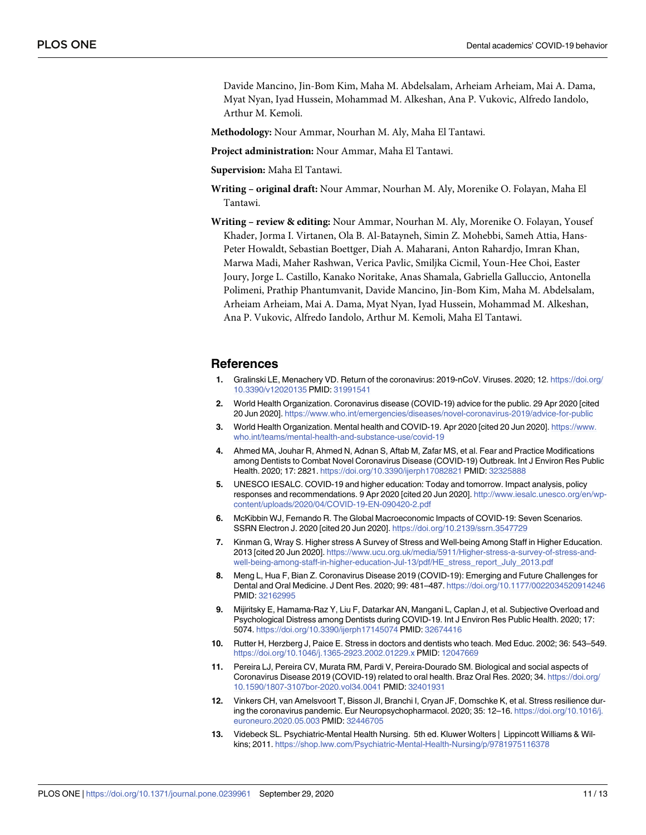<span id="page-10-0"></span>Davide Mancino, Jin-Bom Kim, Maha M. Abdelsalam, Arheiam Arheiam, Mai A. Dama, Myat Nyan, Iyad Hussein, Mohammad M. Alkeshan, Ana P. Vukovic, Alfredo Iandolo, Arthur M. Kemoli.

**Methodology:** Nour Ammar, Nourhan M. Aly, Maha El Tantawi.

**Project administration:** Nour Ammar, Maha El Tantawi.

**Supervision:** Maha El Tantawi.

- **Writing – original draft:** Nour Ammar, Nourhan M. Aly, Morenike O. Folayan, Maha El Tantawi.
- **Writing – review & editing:** Nour Ammar, Nourhan M. Aly, Morenike O. Folayan, Yousef Khader, Jorma I. Virtanen, Ola B. Al-Batayneh, Simin Z. Mohebbi, Sameh Attia, Hans-Peter Howaldt, Sebastian Boettger, Diah A. Maharani, Anton Rahardjo, Imran Khan, Marwa Madi, Maher Rashwan, Verica Pavlic, Smiljka Cicmil, Youn-Hee Choi, Easter Joury, Jorge L. Castillo, Kanako Noritake, Anas Shamala, Gabriella Galluccio, Antonella Polimeni, Prathip Phantumvanit, Davide Mancino, Jin-Bom Kim, Maha M. Abdelsalam, Arheiam Arheiam, Mai A. Dama, Myat Nyan, Iyad Hussein, Mohammad M. Alkeshan, Ana P. Vukovic, Alfredo Iandolo, Arthur M. Kemoli, Maha El Tantawi.

# **References**

- **[1](#page-1-0).** Gralinski LE, Menachery VD. Return of the coronavirus: 2019-nCoV. Viruses. 2020; 12. [https://doi.org/](https://doi.org/10.3390/v12020135) [10.3390/v12020135](https://doi.org/10.3390/v12020135) PMID: [31991541](http://www.ncbi.nlm.nih.gov/pubmed/31991541)
- **[2](#page-2-0).** World Health Organization. Coronavirus disease (COVID-19) advice for the public. 29 Apr 2020 [cited 20 Jun 2020]. <https://www.who.int/emergencies/diseases/novel-coronavirus-2019/advice-for-public>
- **[3](#page-2-0).** World Health Organization. Mental health and COVID-19. Apr 2020 [cited 20 Jun 2020]. [https://www.](https://www.who.int/teams/mental-health-and-substance-use/covid-19) [who.int/teams/mental-health-and-substance-use/covid-19](https://www.who.int/teams/mental-health-and-substance-use/covid-19)
- **[4](#page-2-0).** Ahmed MA, Jouhar R, Ahmed N, Adnan S, Aftab M, Zafar MS, et al. Fear and Practice Modifications among Dentists to Combat Novel Coronavirus Disease (COVID-19) Outbreak. Int J Environ Res Public Health. 2020; 17: 2821. <https://doi.org/10.3390/ijerph17082821> PMID: [32325888](http://www.ncbi.nlm.nih.gov/pubmed/32325888)
- **[5](#page-2-0).** UNESCO IESALC. COVID-19 and higher education: Today and tomorrow. Impact analysis, policy responses and recommendations. 9 Apr 2020 [cited 20 Jun 2020]. [http://www.iesalc.unesco.org/en/wp](http://www.iesalc.unesco.org/en/wp-content/uploads/2020/04/COVID-19-EN-090420-2.pdf)[content/uploads/2020/04/COVID-19-EN-090420-2.pdf](http://www.iesalc.unesco.org/en/wp-content/uploads/2020/04/COVID-19-EN-090420-2.pdf)
- **[6](#page-2-0).** McKibbin WJ, Fernando R. The Global Macroeconomic Impacts of COVID-19: Seven Scenarios. SSRN Electron J. 2020 [cited 20 Jun 2020]. <https://doi.org/10.2139/ssrn.3547729>
- **[7](#page-2-0).** Kinman G, Wray S. Higher stress A Survey of Stress and Well-being Among Staff in Higher Education. 2013 [cited 20 Jun 2020]. [https://www.ucu.org.uk/media/5911/Higher-stress-a-survey-of-stress-and](https://www.ucu.org.uk/media/5911/Higher-stress-a-survey-of-stress-and-well-being-among-staff-in-higher-education-Jul-13/pdf/HE_stress_report_July_2013.pdf)[well-being-among-staff-in-higher-education-Jul-13/pdf/HE\\_stress\\_report\\_July\\_2013.pdf](https://www.ucu.org.uk/media/5911/Higher-stress-a-survey-of-stress-and-well-being-among-staff-in-higher-education-Jul-13/pdf/HE_stress_report_July_2013.pdf)
- **[8](#page-2-0).** Meng L, Hua F, Bian Z. Coronavirus Disease 2019 (COVID-19): Emerging and Future Challenges for Dental and Oral Medicine. J Dent Res. 2020; 99: 481–487. <https://doi.org/10.1177/0022034520914246> PMID: [32162995](http://www.ncbi.nlm.nih.gov/pubmed/32162995)
- **[9](#page-2-0).** Mijiritsky E, Hamama-Raz Y, Liu F, Datarkar AN, Mangani L, Caplan J, et al. Subjective Overload and Psychological Distress among Dentists during COVID-19. Int J Environ Res Public Health. 2020; 17: 5074. <https://doi.org/10.3390/ijerph17145074> PMID: [32674416](http://www.ncbi.nlm.nih.gov/pubmed/32674416)
- **[10](#page-2-0).** Rutter H, Herzberg J, Paice E. Stress in doctors and dentists who teach. Med Educ. 2002; 36: 543–549. <https://doi.org/10.1046/j.1365-2923.2002.01229.x> PMID: [12047669](http://www.ncbi.nlm.nih.gov/pubmed/12047669)
- **[11](#page-2-0).** Pereira LJ, Pereira CV, Murata RM, Pardi V, Pereira-Dourado SM. Biological and social aspects of Coronavirus Disease 2019 (COVID-19) related to oral health. Braz Oral Res. 2020; 34. [https://doi.org/](https://doi.org/10.1590/1807-3107bor-2020.vol34.0041) [10.1590/1807-3107bor-2020.vol34.0041](https://doi.org/10.1590/1807-3107bor-2020.vol34.0041) PMID: [32401931](http://www.ncbi.nlm.nih.gov/pubmed/32401931)
- **[12](#page-2-0).** Vinkers CH, van Amelsvoort T, Bisson JI, Branchi I, Cryan JF, Domschke K, et al. Stress resilience during the coronavirus pandemic. Eur Neuropsychopharmacol. 2020; 35: 12–16. [https://doi.org/10.1016/j.](https://doi.org/10.1016/j.euroneuro.2020.05.003) [euroneuro.2020.05.003](https://doi.org/10.1016/j.euroneuro.2020.05.003) PMID: [32446705](http://www.ncbi.nlm.nih.gov/pubmed/32446705)
- **[13](#page-2-0).** Videbeck SL. Psychiatric-Mental Health Nursing. 5th ed. Kluwer Wolters | Lippincott Williams & Wilkins; 2011. <https://shop.lww.com/Psychiatric-Mental-Health-Nursing/p/9781975116378>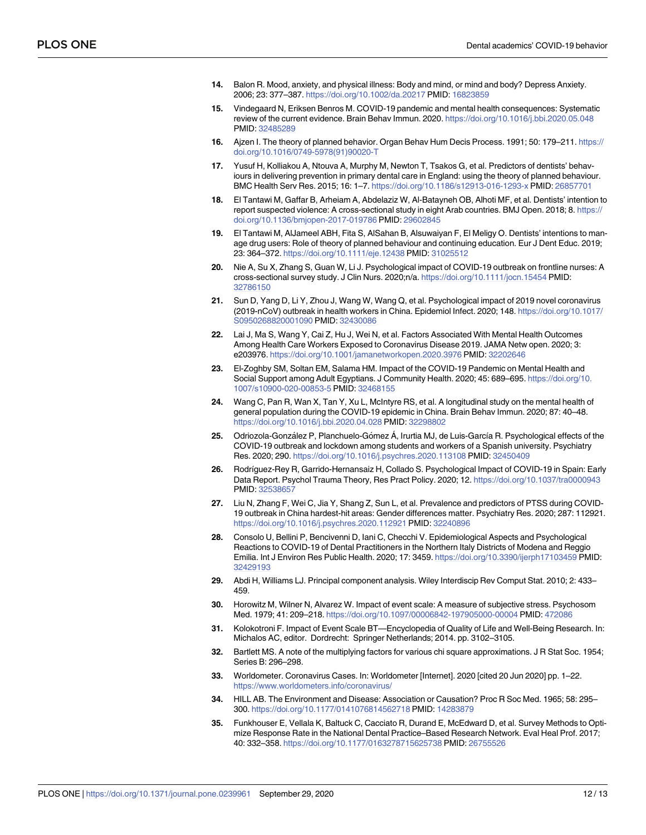- <span id="page-11-0"></span>**[14](#page-2-0).** Balon R. Mood, anxiety, and physical illness: Body and mind, or mind and body? Depress Anxiety. 2006; 23: 377–387. <https://doi.org/10.1002/da.20217> PMID: [16823859](http://www.ncbi.nlm.nih.gov/pubmed/16823859)
- **[15](#page-2-0).** Vindegaard N, Eriksen Benros M. COVID-19 pandemic and mental health consequences: Systematic review of the current evidence. Brain Behav Immun. 2020. <https://doi.org/10.1016/j.bbi.2020.05.048> PMID: [32485289](http://www.ncbi.nlm.nih.gov/pubmed/32485289)
- **[16](#page-2-0).** Ajzen I. The theory of planned behavior. Organ Behav Hum Decis Process. 1991; 50: 179–211. [https://](https://doi.org/10.1016/0749-5978(91)90020-T) [doi.org/10.1016/0749-5978\(91\)90020-T](https://doi.org/10.1016/0749-5978(91)90020-T)
- **[17](#page-2-0).** Yusuf H, Kolliakou A, Ntouva A, Murphy M, Newton T, Tsakos G, et al. Predictors of dentists' behaviours in delivering prevention in primary dental care in England: using the theory of planned behaviour. BMC Health Serv Res. 2015; 16: 1–7. <https://doi.org/10.1186/s12913-016-1293-x> PMID: [26857701](http://www.ncbi.nlm.nih.gov/pubmed/26857701)
- **[18](#page-2-0).** El Tantawi M, Gaffar B, Arheiam A, Abdelaziz W, Al-Batayneh OB, Alhoti MF, et al. Dentists' intention to report suspected violence: A cross-sectional study in eight Arab countries. BMJ Open. 2018; 8. [https://](https://doi.org/10.1136/bmjopen-2017-019786) [doi.org/10.1136/bmjopen-2017-019786](https://doi.org/10.1136/bmjopen-2017-019786) PMID: [29602845](http://www.ncbi.nlm.nih.gov/pubmed/29602845)
- **[19](#page-2-0).** El Tantawi M, AlJameel ABH, Fita S, AlSahan B, Alsuwaiyan F, El Meligy O. Dentists' intentions to manage drug users: Role of theory of planned behaviour and continuing education. Eur J Dent Educ. 2019; 23: 364–372. <https://doi.org/10.1111/eje.12438> PMID: [31025512](http://www.ncbi.nlm.nih.gov/pubmed/31025512)
- **[20](#page-2-0).** Nie A, Su X, Zhang S, Guan W, Li J. Psychological impact of COVID-19 outbreak on frontline nurses: A cross-sectional survey study. J Clin Nurs. 2020;n/a. <https://doi.org/10.1111/jocn.15454> PMID: [32786150](http://www.ncbi.nlm.nih.gov/pubmed/32786150)
- **21.** Sun D, Yang D, Li Y, Zhou J, Wang W, Wang Q, et al. Psychological impact of 2019 novel coronavirus (2019-nCoV) outbreak in health workers in China. Epidemiol Infect. 2020; 148. [https://doi.org/10.1017/](https://doi.org/10.1017/S0950268820001090) [S0950268820001090](https://doi.org/10.1017/S0950268820001090) PMID: [32430086](http://www.ncbi.nlm.nih.gov/pubmed/32430086)
- **[22](#page-2-0).** Lai J, Ma S, Wang Y, Cai Z, Hu J, Wei N, et al. Factors Associated With Mental Health Outcomes Among Health Care Workers Exposed to Coronavirus Disease 2019. JAMA Netw open. 2020; 3: e203976. <https://doi.org/10.1001/jamanetworkopen.2020.3976> PMID: [32202646](http://www.ncbi.nlm.nih.gov/pubmed/32202646)
- **[23](#page-2-0).** El-Zoghby SM, Soltan EM, Salama HM. Impact of the COVID-19 Pandemic on Mental Health and Social Support among Adult Egyptians. J Community Health. 2020; 45: 689–695. [https://doi.org/10.](https://doi.org/10.1007/s10900-020-00853-5) [1007/s10900-020-00853-5](https://doi.org/10.1007/s10900-020-00853-5) PMID: [32468155](http://www.ncbi.nlm.nih.gov/pubmed/32468155)
- **24.** Wang C, Pan R, Wan X, Tan Y, Xu L, McIntyre RS, et al. A longitudinal study on the mental health of general population during the COVID-19 epidemic in China. Brain Behav Immun. 2020; 87: 40–48. <https://doi.org/10.1016/j.bbi.2020.04.028> PMID: [32298802](http://www.ncbi.nlm.nih.gov/pubmed/32298802)
- 25. Odriozola-González P, Planchuelo-Gómez Á, Irurtia MJ, de Luis-García R. Psychological effects of the COVID-19 outbreak and lockdown among students and workers of a Spanish university. Psychiatry Res. 2020; 290. <https://doi.org/10.1016/j.psychres.2020.113108> PMID: [32450409](http://www.ncbi.nlm.nih.gov/pubmed/32450409)
- **[26](#page-2-0).** Rodrı´guez-Rey R, Garrido-Hernansaiz H, Collado S. Psychological Impact of COVID-19 in Spain: Early Data Report. Psychol Trauma Theory, Res Pract Policy. 2020; 12. <https://doi.org/10.1037/tra0000943> PMID: [32538657](http://www.ncbi.nlm.nih.gov/pubmed/32538657)
- **[27](#page-3-0).** Liu N, Zhang F, Wei C, Jia Y, Shang Z, Sun L, et al. Prevalence and predictors of PTSS during COVID-19 outbreak in China hardest-hit areas: Gender differences matter. Psychiatry Res. 2020; 287: 112921. <https://doi.org/10.1016/j.psychres.2020.112921> PMID: [32240896](http://www.ncbi.nlm.nih.gov/pubmed/32240896)
- **[28](#page-3-0).** Consolo U, Bellini P, Bencivenni D, Iani C, Checchi V. Epidemiological Aspects and Psychological Reactions to COVID-19 of Dental Practitioners in the Northern Italy Districts of Modena and Reggio Emilia. Int J Environ Res Public Health. 2020; 17: 3459. <https://doi.org/10.3390/ijerph17103459> PMID: [32429193](http://www.ncbi.nlm.nih.gov/pubmed/32429193)
- **[29](#page-3-0).** Abdi H, Williams LJ. Principal component analysis. Wiley Interdiscip Rev Comput Stat. 2010; 2: 433– 459.
- **[30](#page-3-0).** Horowitz M, Wilner N, Alvarez W. Impact of event scale: A measure of subjective stress. Psychosom Med. 1979; 41: 209–218. <https://doi.org/10.1097/00006842-197905000-00004> PMID: [472086](http://www.ncbi.nlm.nih.gov/pubmed/472086)
- **[31](#page-3-0).** Kolokotroni F. Impact of Event Scale BT—Encyclopedia of Quality of Life and Well-Being Research. In: Michalos AC, editor. Dordrecht: Springer Netherlands; 2014. pp. 3102–3105.
- **[32](#page-4-0).** Bartlett MS. A note of the multiplying factors for various chi square approximations. J R Stat Soc. 1954; Series B: 296–298.
- **[33](#page-4-0).** Worldometer. Coronavirus Cases. In: Worldometer [Internet]. 2020 [cited 20 Jun 2020] pp. 1–22. <https://www.worldometers.info/coronavirus/>
- **[34](#page-7-0).** HILL AB. The Environment and Disease: Association or Causation? Proc R Soc Med. 1965; 58: 295– 300. <https://doi.org/10.1177/0141076814562718> PMID: [14283879](http://www.ncbi.nlm.nih.gov/pubmed/14283879)
- **[35](#page-8-0).** Funkhouser E, Vellala K, Baltuck C, Cacciato R, Durand E, McEdward D, et al. Survey Methods to Optimize Response Rate in the National Dental Practice–Based Research Network. Eval Heal Prof. 2017; 40: 332–358. <https://doi.org/10.1177/0163278715625738> PMID: [26755526](http://www.ncbi.nlm.nih.gov/pubmed/26755526)